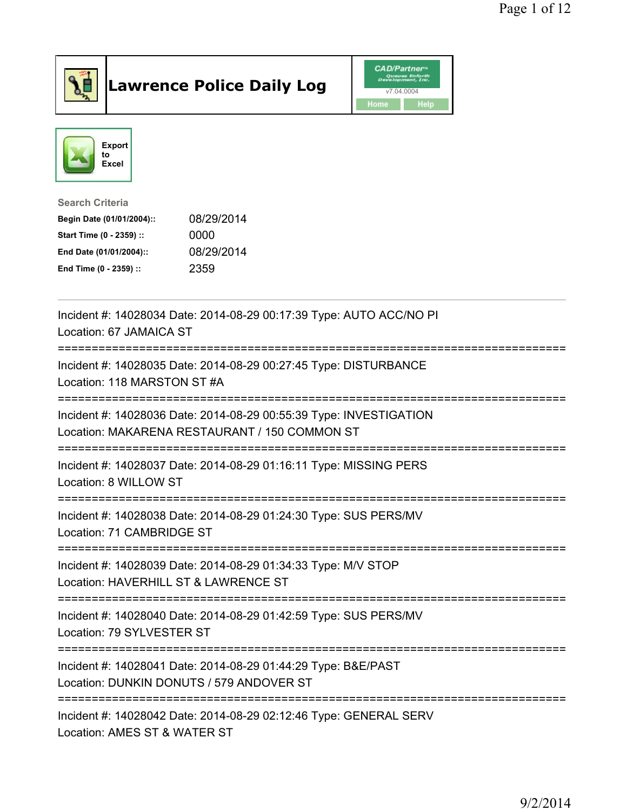

## Lawrence Police Daily Log **Daniel CAD/Partner**





Search Criteria Begin Date (01/01/2004):: 08/29/2014 Start Time (0 - 2359) :: 0000 End Date (01/01/2004):: 08/29/2014 End Time (0 - 2359) :: 2359

| Incident #: 14028034 Date: 2014-08-29 00:17:39 Type: AUTO ACC/NO PI<br>Location: 67 JAMAICA ST                      |
|---------------------------------------------------------------------------------------------------------------------|
| Incident #: 14028035 Date: 2014-08-29 00:27:45 Type: DISTURBANCE<br>Location: 118 MARSTON ST #A<br>--------------   |
| Incident #: 14028036 Date: 2014-08-29 00:55:39 Type: INVESTIGATION<br>Location: MAKARENA RESTAURANT / 150 COMMON ST |
| Incident #: 14028037 Date: 2014-08-29 01:16:11 Type: MISSING PERS<br>Location: 8 WILLOW ST                          |
| Incident #: 14028038 Date: 2014-08-29 01:24:30 Type: SUS PERS/MV<br>Location: 71 CAMBRIDGE ST                       |
| Incident #: 14028039 Date: 2014-08-29 01:34:33 Type: M/V STOP<br>Location: HAVERHILL ST & LAWRENCE ST               |
| Incident #: 14028040 Date: 2014-08-29 01:42:59 Type: SUS PERS/MV<br>Location: 79 SYLVESTER ST                       |
| Incident #: 14028041 Date: 2014-08-29 01:44:29 Type: B&E/PAST<br>Location: DUNKIN DONUTS / 579 ANDOVER ST           |
| Incident #: 14028042 Date: 2014-08-29 02:12:46 Type: GENERAL SERV<br>Location: AMES ST & WATER ST                   |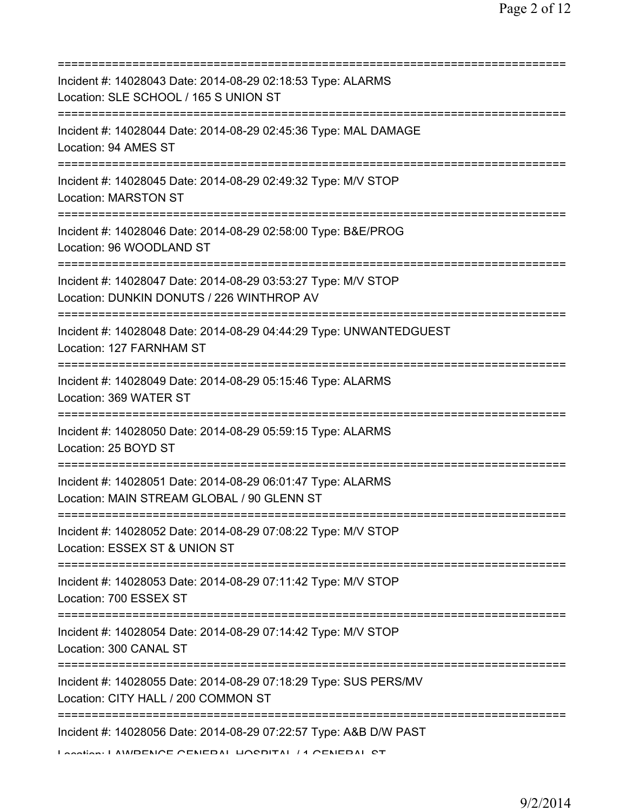| Incident #: 14028043 Date: 2014-08-29 02:18:53 Type: ALARMS<br>Location: SLE SCHOOL / 165 S UNION ST                               |
|------------------------------------------------------------------------------------------------------------------------------------|
| Incident #: 14028044 Date: 2014-08-29 02:45:36 Type: MAL DAMAGE<br>Location: 94 AMES ST<br>______________________________________  |
| Incident #: 14028045 Date: 2014-08-29 02:49:32 Type: M/V STOP<br><b>Location: MARSTON ST</b>                                       |
| Incident #: 14028046 Date: 2014-08-29 02:58:00 Type: B&E/PROG<br>Location: 96 WOODLAND ST                                          |
| Incident #: 14028047 Date: 2014-08-29 03:53:27 Type: M/V STOP<br>Location: DUNKIN DONUTS / 226 WINTHROP AV                         |
| Incident #: 14028048 Date: 2014-08-29 04:44:29 Type: UNWANTEDGUEST<br>Location: 127 FARNHAM ST                                     |
| Incident #: 14028049 Date: 2014-08-29 05:15:46 Type: ALARMS<br>Location: 369 WATER ST                                              |
| Incident #: 14028050 Date: 2014-08-29 05:59:15 Type: ALARMS<br>Location: 25 BOYD ST                                                |
| =====================<br>Incident #: 14028051 Date: 2014-08-29 06:01:47 Type: ALARMS<br>Location: MAIN STREAM GLOBAL / 90 GLENN ST |
| Incident #: 14028052 Date: 2014-08-29 07:08:22 Type: M/V STOP<br>Location: ESSEX ST & UNION ST                                     |
| Incident #: 14028053 Date: 2014-08-29 07:11:42 Type: M/V STOP<br>Location: 700 ESSEX ST                                            |
| Incident #: 14028054 Date: 2014-08-29 07:14:42 Type: M/V STOP<br>Location: 300 CANAL ST                                            |
| Incident #: 14028055 Date: 2014-08-29 07:18:29 Type: SUS PERS/MV<br>Location: CITY HALL / 200 COMMON ST                            |
| Incident #: 14028056 Date: 2014-08-29 07:22:57 Type: A&B D/W PAST<br>Lootion: LAWDENCE CENEDAL LIOCDITAL /4 CENEDAL CT             |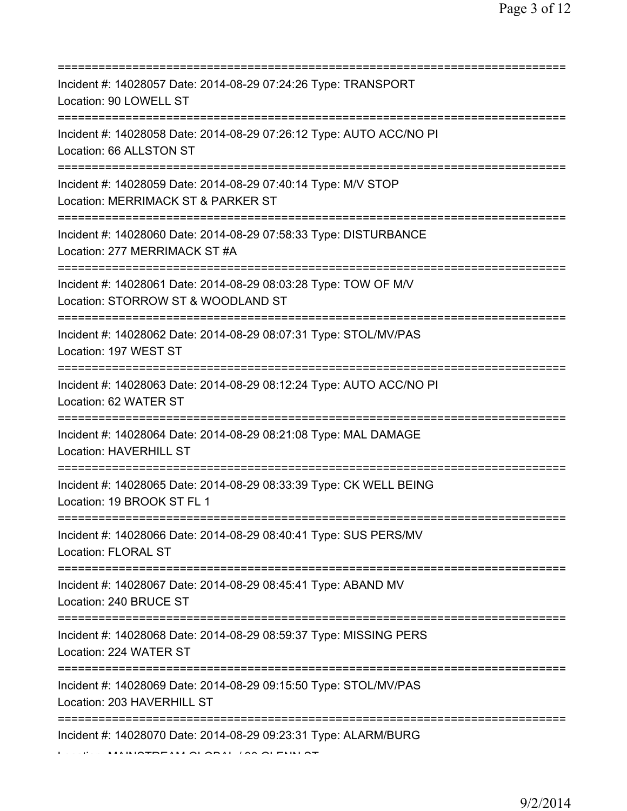| Incident #: 14028057 Date: 2014-08-29 07:24:26 Type: TRANSPORT<br>Location: 90 LOWELL ST<br>Incident #: 14028058 Date: 2014-08-29 07:26:12 Type: AUTO ACC/NO PI<br>Location: 66 ALLSTON ST<br>Incident #: 14028059 Date: 2014-08-29 07:40:14 Type: M/V STOP<br>Location: MERRIMACK ST & PARKER ST<br>Incident #: 14028060 Date: 2014-08-29 07:58:33 Type: DISTURBANCE<br>Location: 277 MERRIMACK ST #A<br>Incident #: 14028061 Date: 2014-08-29 08:03:28 Type: TOW OF M/V<br>Location: STORROW ST & WOODLAND ST<br>Incident #: 14028062 Date: 2014-08-29 08:07:31 Type: STOL/MV/PAS<br>Location: 197 WEST ST<br>=====================================<br>Incident #: 14028063 Date: 2014-08-29 08:12:24 Type: AUTO ACC/NO PI<br>Location: 62 WATER ST<br>=============================<br>Incident #: 14028064 Date: 2014-08-29 08:21:08 Type: MAL DAMAGE<br>Location: HAVERHILL ST<br>Incident #: 14028065 Date: 2014-08-29 08:33:39 Type: CK WELL BEING<br>Location: 19 BROOK ST FL 1<br>Incident #: 14028066 Date: 2014-08-29 08:40:41 Type: SUS PERS/MV<br><b>Location: FLORAL ST</b><br>Incident #: 14028067 Date: 2014-08-29 08:45:41 Type: ABAND MV<br>Location: 240 BRUCE ST<br>Incident #: 14028068 Date: 2014-08-29 08:59:37 Type: MISSING PERS<br>Location: 224 WATER ST<br>Incident #: 14028069 Date: 2014-08-29 09:15:50 Type: STOL/MV/PAS<br>Location: 203 HAVERHILL ST<br>:============<br>Incident #: 14028070 Date: 2014-08-29 09:23:31 Type: ALARM/BURG |  |
|---------------------------------------------------------------------------------------------------------------------------------------------------------------------------------------------------------------------------------------------------------------------------------------------------------------------------------------------------------------------------------------------------------------------------------------------------------------------------------------------------------------------------------------------------------------------------------------------------------------------------------------------------------------------------------------------------------------------------------------------------------------------------------------------------------------------------------------------------------------------------------------------------------------------------------------------------------------------------------------------------------------------------------------------------------------------------------------------------------------------------------------------------------------------------------------------------------------------------------------------------------------------------------------------------------------------------------------------------------------------------------------------------------------------------------------------------------------------------|--|
|                                                                                                                                                                                                                                                                                                                                                                                                                                                                                                                                                                                                                                                                                                                                                                                                                                                                                                                                                                                                                                                                                                                                                                                                                                                                                                                                                                                                                                                                           |  |
|                                                                                                                                                                                                                                                                                                                                                                                                                                                                                                                                                                                                                                                                                                                                                                                                                                                                                                                                                                                                                                                                                                                                                                                                                                                                                                                                                                                                                                                                           |  |
|                                                                                                                                                                                                                                                                                                                                                                                                                                                                                                                                                                                                                                                                                                                                                                                                                                                                                                                                                                                                                                                                                                                                                                                                                                                                                                                                                                                                                                                                           |  |
|                                                                                                                                                                                                                                                                                                                                                                                                                                                                                                                                                                                                                                                                                                                                                                                                                                                                                                                                                                                                                                                                                                                                                                                                                                                                                                                                                                                                                                                                           |  |
|                                                                                                                                                                                                                                                                                                                                                                                                                                                                                                                                                                                                                                                                                                                                                                                                                                                                                                                                                                                                                                                                                                                                                                                                                                                                                                                                                                                                                                                                           |  |
|                                                                                                                                                                                                                                                                                                                                                                                                                                                                                                                                                                                                                                                                                                                                                                                                                                                                                                                                                                                                                                                                                                                                                                                                                                                                                                                                                                                                                                                                           |  |
|                                                                                                                                                                                                                                                                                                                                                                                                                                                                                                                                                                                                                                                                                                                                                                                                                                                                                                                                                                                                                                                                                                                                                                                                                                                                                                                                                                                                                                                                           |  |
|                                                                                                                                                                                                                                                                                                                                                                                                                                                                                                                                                                                                                                                                                                                                                                                                                                                                                                                                                                                                                                                                                                                                                                                                                                                                                                                                                                                                                                                                           |  |
|                                                                                                                                                                                                                                                                                                                                                                                                                                                                                                                                                                                                                                                                                                                                                                                                                                                                                                                                                                                                                                                                                                                                                                                                                                                                                                                                                                                                                                                                           |  |
|                                                                                                                                                                                                                                                                                                                                                                                                                                                                                                                                                                                                                                                                                                                                                                                                                                                                                                                                                                                                                                                                                                                                                                                                                                                                                                                                                                                                                                                                           |  |
|                                                                                                                                                                                                                                                                                                                                                                                                                                                                                                                                                                                                                                                                                                                                                                                                                                                                                                                                                                                                                                                                                                                                                                                                                                                                                                                                                                                                                                                                           |  |
|                                                                                                                                                                                                                                                                                                                                                                                                                                                                                                                                                                                                                                                                                                                                                                                                                                                                                                                                                                                                                                                                                                                                                                                                                                                                                                                                                                                                                                                                           |  |
|                                                                                                                                                                                                                                                                                                                                                                                                                                                                                                                                                                                                                                                                                                                                                                                                                                                                                                                                                                                                                                                                                                                                                                                                                                                                                                                                                                                                                                                                           |  |
|                                                                                                                                                                                                                                                                                                                                                                                                                                                                                                                                                                                                                                                                                                                                                                                                                                                                                                                                                                                                                                                                                                                                                                                                                                                                                                                                                                                                                                                                           |  |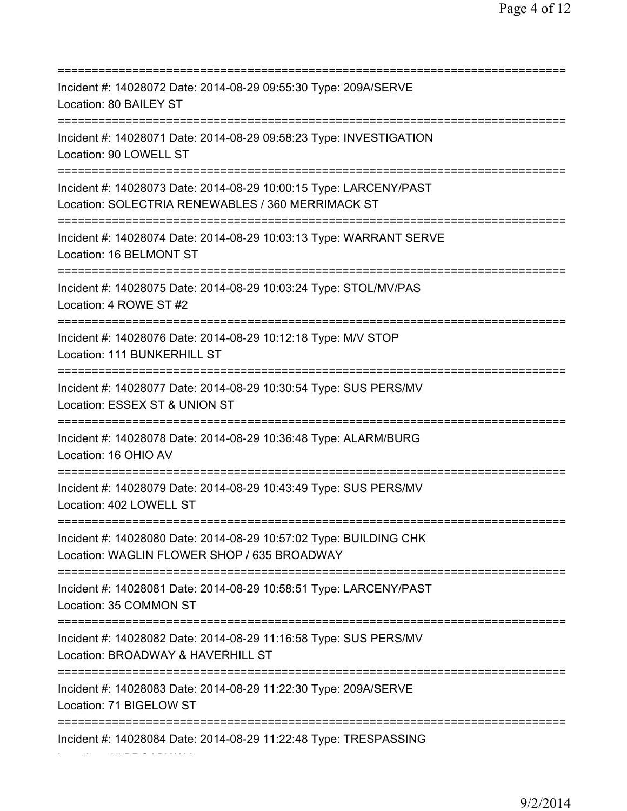| Incident #: 14028072 Date: 2014-08-29 09:55:30 Type: 209A/SERVE<br>Location: 80 BAILEY ST                                              |
|----------------------------------------------------------------------------------------------------------------------------------------|
| Incident #: 14028071 Date: 2014-08-29 09:58:23 Type: INVESTIGATION<br>Location: 90 LOWELL ST                                           |
| Incident #: 14028073 Date: 2014-08-29 10:00:15 Type: LARCENY/PAST<br>Location: SOLECTRIA RENEWABLES / 360 MERRIMACK ST                 |
| Incident #: 14028074 Date: 2014-08-29 10:03:13 Type: WARRANT SERVE<br>Location: 16 BELMONT ST<br>===================================== |
| Incident #: 14028075 Date: 2014-08-29 10:03:24 Type: STOL/MV/PAS<br>Location: 4 ROWE ST #2<br>=================================        |
| Incident #: 14028076 Date: 2014-08-29 10:12:18 Type: M/V STOP<br>Location: 111 BUNKERHILL ST                                           |
| Incident #: 14028077 Date: 2014-08-29 10:30:54 Type: SUS PERS/MV<br>Location: ESSEX ST & UNION ST<br>:============                     |
| Incident #: 14028078 Date: 2014-08-29 10:36:48 Type: ALARM/BURG<br>Location: 16 OHIO AV                                                |
| Incident #: 14028079 Date: 2014-08-29 10:43:49 Type: SUS PERS/MV<br>Location: 402 LOWELL ST                                            |
| Incident #: 14028080 Date: 2014-08-29 10:57:02 Type: BUILDING CHK<br>Location: WAGLIN FLOWER SHOP / 635 BROADWAY                       |
| Incident #: 14028081 Date: 2014-08-29 10:58:51 Type: LARCENY/PAST<br>Location: 35 COMMON ST<br>===================================     |
| Incident #: 14028082 Date: 2014-08-29 11:16:58 Type: SUS PERS/MV<br>Location: BROADWAY & HAVERHILL ST                                  |
| Incident #: 14028083 Date: 2014-08-29 11:22:30 Type: 209A/SERVE<br>Location: 71 BIGELOW ST                                             |
| Incident #: 14028084 Date: 2014-08-29 11:22:48 Type: TRESPASSING                                                                       |

Location: 45 BROADWAY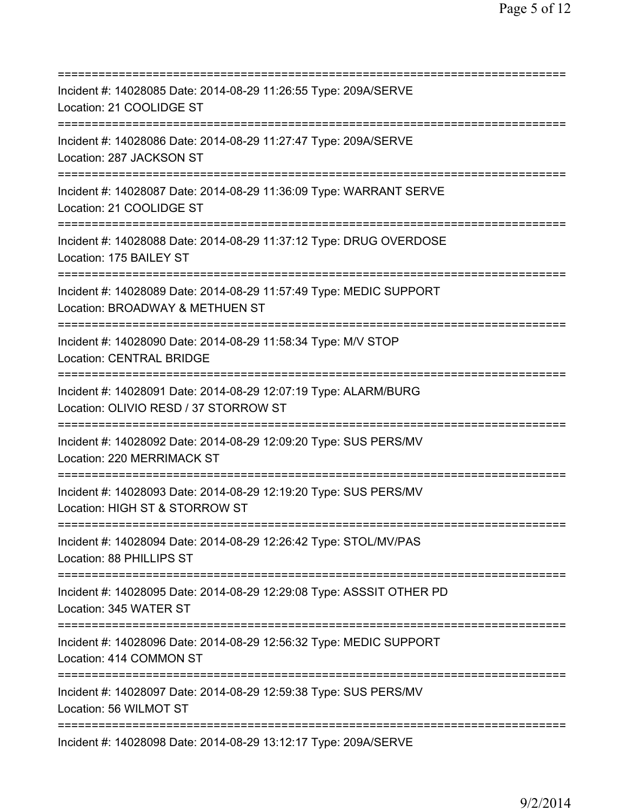=========================================================================== Incident #: 14028085 Date: 2014-08-29 11:26:55 Type: 209A/SERVE Location: 21 COOLIDGE ST =========================================================================== Incident #: 14028086 Date: 2014-08-29 11:27:47 Type: 209A/SERVE Location: 287 JACKSON ST =========================================================================== Incident #: 14028087 Date: 2014-08-29 11:36:09 Type: WARRANT SERVE Location: 21 COOLIDGE ST =========================================================================== Incident #: 14028088 Date: 2014-08-29 11:37:12 Type: DRUG OVERDOSE Location: 175 BAILEY ST =========================================================================== Incident #: 14028089 Date: 2014-08-29 11:57:49 Type: MEDIC SUPPORT Location: BROADWAY & METHUEN ST =========================================================================== Incident #: 14028090 Date: 2014-08-29 11:58:34 Type: M/V STOP Location: CENTRAL BRIDGE =========================================================================== Incident #: 14028091 Date: 2014-08-29 12:07:19 Type: ALARM/BURG Location: OLIVIO RESD / 37 STORROW ST =========================================================================== Incident #: 14028092 Date: 2014-08-29 12:09:20 Type: SUS PERS/MV Location: 220 MERRIMACK ST =========================================================================== Incident #: 14028093 Date: 2014-08-29 12:19:20 Type: SUS PERS/MV Location: HIGH ST & STORROW ST =========================================================================== Incident #: 14028094 Date: 2014-08-29 12:26:42 Type: STOL/MV/PAS Location: 88 PHILLIPS ST =========================================================================== Incident #: 14028095 Date: 2014-08-29 12:29:08 Type: ASSSIT OTHER PD Location: 345 WATER ST =========================================================================== Incident #: 14028096 Date: 2014-08-29 12:56:32 Type: MEDIC SUPPORT Location: 414 COMMON ST =========================================================================== Incident #: 14028097 Date: 2014-08-29 12:59:38 Type: SUS PERS/MV Location: 56 WILMOT ST =========================================================================== Incident #: 14028098 Date: 2014-08-29 13:12:17 Type: 209A/SERVE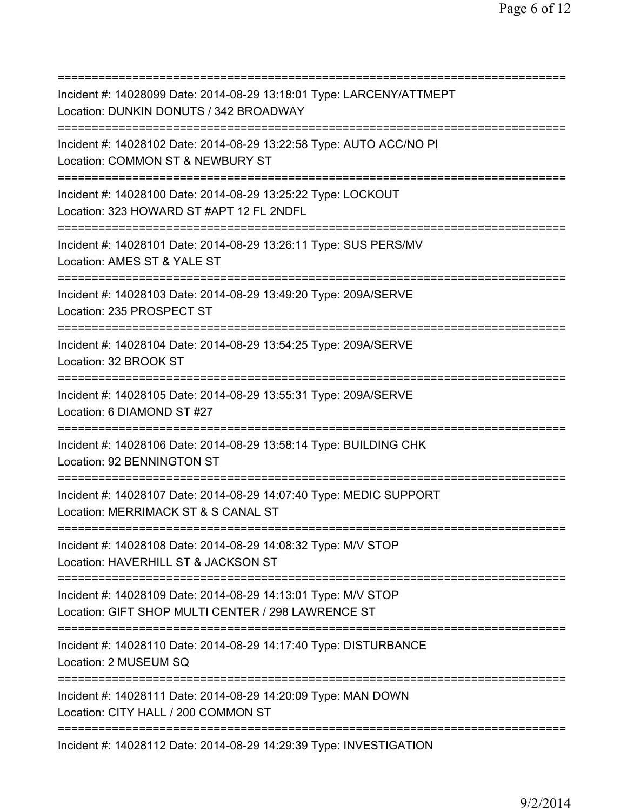=========================================================================== Incident #: 14028099 Date: 2014-08-29 13:18:01 Type: LARCENY/ATTMEPT Location: DUNKIN DONUTS / 342 BROADWAY =========================================================================== Incident #: 14028102 Date: 2014-08-29 13:22:58 Type: AUTO ACC/NO PI Location: COMMON ST & NEWBURY ST =========================================================================== Incident #: 14028100 Date: 2014-08-29 13:25:22 Type: LOCKOUT Location: 323 HOWARD ST #APT 12 FL 2NDFL =========================================================================== Incident #: 14028101 Date: 2014-08-29 13:26:11 Type: SUS PERS/MV Location: AMES ST & YALE ST =========================================================================== Incident #: 14028103 Date: 2014-08-29 13:49:20 Type: 209A/SERVE Location: 235 PROSPECT ST =========================================================================== Incident #: 14028104 Date: 2014-08-29 13:54:25 Type: 209A/SERVE Location: 32 BROOK ST =========================================================================== Incident #: 14028105 Date: 2014-08-29 13:55:31 Type: 209A/SERVE Location: 6 DIAMOND ST #27 =========================================================================== Incident #: 14028106 Date: 2014-08-29 13:58:14 Type: BUILDING CHK Location: 92 BENNINGTON ST =========================================================================== Incident #: 14028107 Date: 2014-08-29 14:07:40 Type: MEDIC SUPPORT Location: MERRIMACK ST & S CANAL ST =========================================================================== Incident #: 14028108 Date: 2014-08-29 14:08:32 Type: M/V STOP Location: HAVERHILL ST & JACKSON ST =========================================================================== Incident #: 14028109 Date: 2014-08-29 14:13:01 Type: M/V STOP Location: GIFT SHOP MULTI CENTER / 298 LAWRENCE ST =========================================================================== Incident #: 14028110 Date: 2014-08-29 14:17:40 Type: DISTURBANCE Location: 2 MUSEUM SQ =========================================================================== Incident #: 14028111 Date: 2014-08-29 14:20:09 Type: MAN DOWN Location: CITY HALL / 200 COMMON ST =========================================================================== Incident #: 14028112 Date: 2014-08-29 14:29:39 Type: INVESTIGATION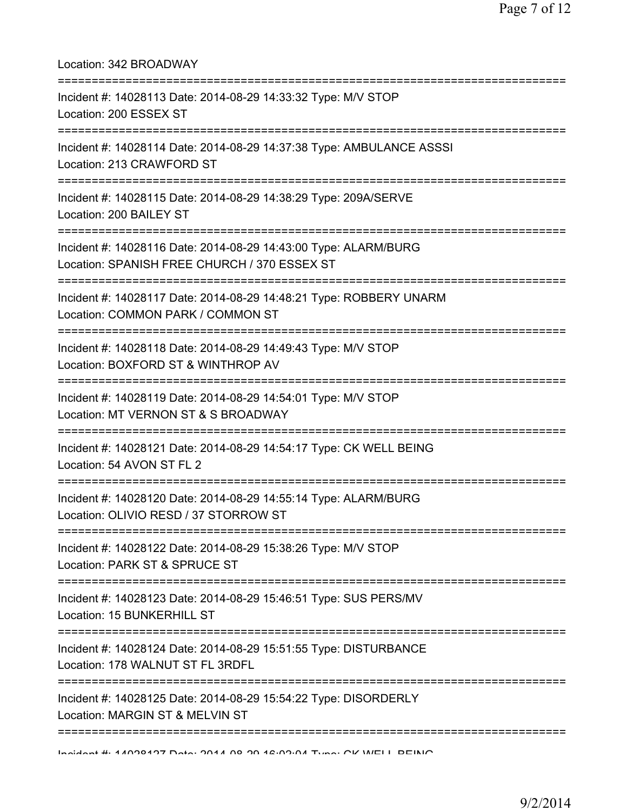| Location: 342 BROADWAY                                                                                                                  |
|-----------------------------------------------------------------------------------------------------------------------------------------|
| Incident #: 14028113 Date: 2014-08-29 14:33:32 Type: M/V STOP<br>Location: 200 ESSEX ST                                                 |
| Incident #: 14028114 Date: 2014-08-29 14:37:38 Type: AMBULANCE ASSSI<br>Location: 213 CRAWFORD ST                                       |
| Incident #: 14028115 Date: 2014-08-29 14:38:29 Type: 209A/SERVE<br>Location: 200 BAILEY ST                                              |
| Incident #: 14028116 Date: 2014-08-29 14:43:00 Type: ALARM/BURG<br>Location: SPANISH FREE CHURCH / 370 ESSEX ST                         |
| Incident #: 14028117 Date: 2014-08-29 14:48:21 Type: ROBBERY UNARM<br>Location: COMMON PARK / COMMON ST                                 |
| Incident #: 14028118 Date: 2014-08-29 14:49:43 Type: M/V STOP<br>Location: BOXFORD ST & WINTHROP AV                                     |
| Incident #: 14028119 Date: 2014-08-29 14:54:01 Type: M/V STOP<br>Location: MT VERNON ST & S BROADWAY                                    |
| Incident #: 14028121 Date: 2014-08-29 14:54:17 Type: CK WELL BEING<br>Location: 54 AVON ST FL 2                                         |
| Incident #: 14028120 Date: 2014-08-29 14:55:14 Type: ALARM/BURG<br>Location: OLIVIO RESD / 37 STORROW ST                                |
| Incident #: 14028122 Date: 2014-08-29 15:38:26 Type: M/V STOP<br>Location: PARK ST & SPRUCE ST                                          |
| -------------------------------------<br>Incident #: 14028123 Date: 2014-08-29 15:46:51 Type: SUS PERS/MV<br>Location: 15 BUNKERHILL ST |
| Incident #: 14028124 Date: 2014-08-29 15:51:55 Type: DISTURBANCE<br>Location: 178 WALNUT ST FL 3RDFL                                    |
| Incident #: 14028125 Date: 2014-08-29 15:54:22 Type: DISORDERLY<br>Location: MARGIN ST & MELVIN ST                                      |
| Incident # 44000407 Deta: 0044 00 00 46:00:04 Tune: OV WELL DEINIO                                                                      |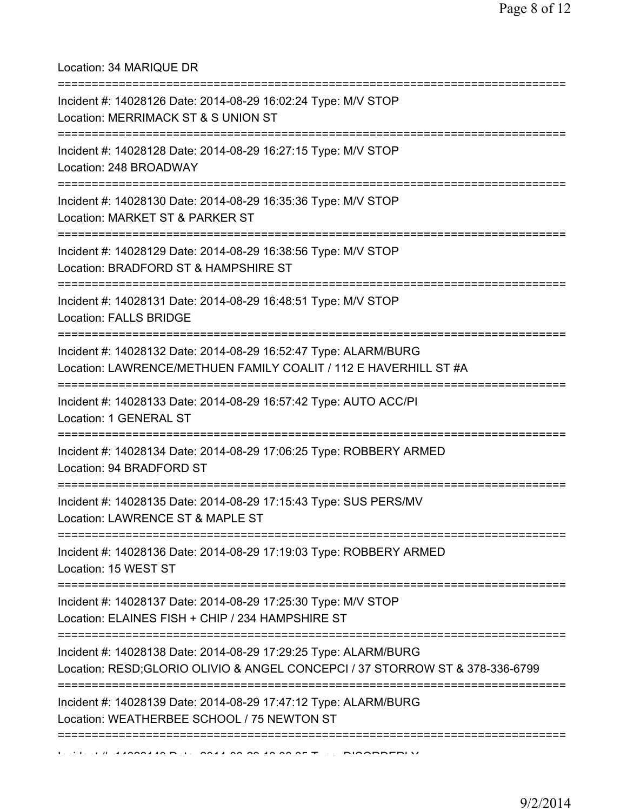## Location: 34 MARIQUE DR

| Incident #: 14028126 Date: 2014-08-29 16:02:24 Type: M/V STOP<br>Location: MERRIMACK ST & S UNION ST                                            |
|-------------------------------------------------------------------------------------------------------------------------------------------------|
| ==========================<br>Incident #: 14028128 Date: 2014-08-29 16:27:15 Type: M/V STOP<br>Location: 248 BROADWAY                           |
| Incident #: 14028130 Date: 2014-08-29 16:35:36 Type: M/V STOP<br>Location: MARKET ST & PARKER ST<br>===================================         |
| Incident #: 14028129 Date: 2014-08-29 16:38:56 Type: M/V STOP<br>Location: BRADFORD ST & HAMPSHIRE ST<br>-----------------------------------    |
| Incident #: 14028131 Date: 2014-08-29 16:48:51 Type: M/V STOP<br><b>Location: FALLS BRIDGE</b>                                                  |
| Incident #: 14028132 Date: 2014-08-29 16:52:47 Type: ALARM/BURG<br>Location: LAWRENCE/METHUEN FAMILY COALIT / 112 E HAVERHILL ST #A             |
| Incident #: 14028133 Date: 2014-08-29 16:57:42 Type: AUTO ACC/PI<br>Location: 1 GENERAL ST                                                      |
| Incident #: 14028134 Date: 2014-08-29 17:06:25 Type: ROBBERY ARMED<br>Location: 94 BRADFORD ST                                                  |
| Incident #: 14028135 Date: 2014-08-29 17:15:43 Type: SUS PERS/MV<br>Location: LAWRENCE ST & MAPLE ST                                            |
| Incident #: 14028136 Date: 2014-08-29 17:19:03 Type: ROBBERY ARMED<br>Location: 15 WEST ST                                                      |
| Incident #: 14028137 Date: 2014-08-29 17:25:30 Type: M/V STOP<br>Location: ELAINES FISH + CHIP / 234 HAMPSHIRE ST                               |
| Incident #: 14028138 Date: 2014-08-29 17:29:25 Type: ALARM/BURG<br>Location: RESD;GLORIO OLIVIO & ANGEL CONCEPCI / 37 STORROW ST & 378-336-6799 |
| Incident #: 14028139 Date: 2014-08-29 17:47:12 Type: ALARM/BURG<br>Location: WEATHERBEE SCHOOL / 75 NEWTON ST                                   |
|                                                                                                                                                 |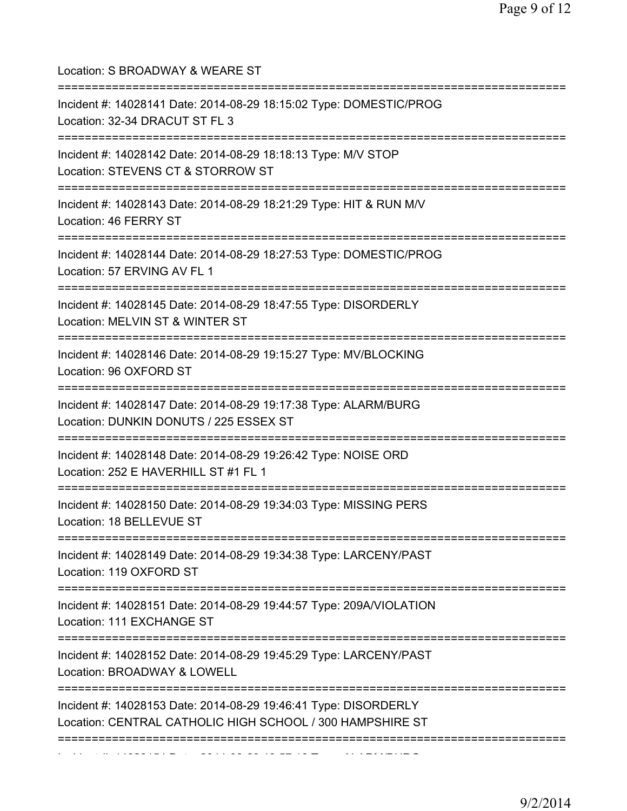Location: S BROADWAY & WEARE ST =========================================================================== Incident #: 14028141 Date: 2014-08-29 18:15:02 Type: DOMESTIC/PROG Location: 32-34 DRACUT ST FL 3 =========================================================================== Incident #: 14028142 Date: 2014-08-29 18:18:13 Type: M/V STOP Location: STEVENS CT & STORROW ST =========================================================================== Incident #: 14028143 Date: 2014-08-29 18:21:29 Type: HIT & RUN M/V Location: 46 FERRY ST =========================================================================== Incident #: 14028144 Date: 2014-08-29 18:27:53 Type: DOMESTIC/PROG Location: 57 ERVING AV FL 1 =========================================================================== Incident #: 14028145 Date: 2014-08-29 18:47:55 Type: DISORDERLY Location: MELVIN ST & WINTER ST =========================================================================== Incident #: 14028146 Date: 2014-08-29 19:15:27 Type: MV/BLOCKING Location: 96 OXFORD ST =========================================================================== Incident #: 14028147 Date: 2014-08-29 19:17:38 Type: ALARM/BURG Location: DUNKIN DONUTS / 225 ESSEX ST =========================================================================== Incident #: 14028148 Date: 2014-08-29 19:26:42 Type: NOISE ORD Location: 252 E HAVERHILL ST #1 FL 1 =========================================================================== Incident #: 14028150 Date: 2014-08-29 19:34:03 Type: MISSING PERS Location: 18 BELLEVUE ST =========================================================================== Incident #: 14028149 Date: 2014-08-29 19:34:38 Type: LARCENY/PAST Location: 119 OXFORD ST =========================================================================== Incident #: 14028151 Date: 2014-08-29 19:44:57 Type: 209A/VIOLATION Location: 111 EXCHANGE ST =========================================================================== Incident #: 14028152 Date: 2014-08-29 19:45:29 Type: LARCENY/PAST Location: BROADWAY & LOWELL =========================================================================== Incident #: 14028153 Date: 2014-08-29 19:46:41 Type: DISORDERLY Location: CENTRAL CATHOLIC HIGH SCHOOL / 300 HAMPSHIRE ST =========================================================================== Incident #: 14028154 Date: 2014 08 29 19:57:16 Type: ALARM/BURG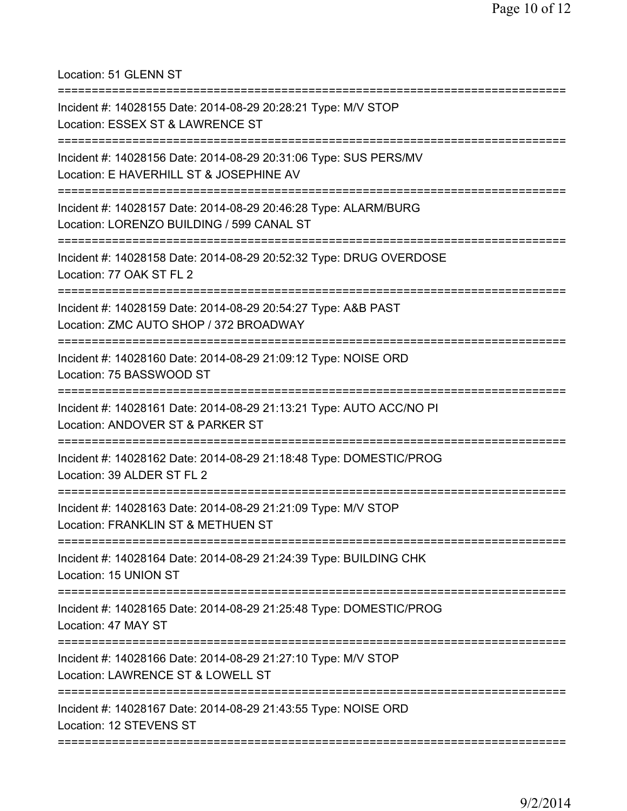Location: 51 GLENN ST

| Incident #: 14028155 Date: 2014-08-29 20:28:21 Type: M/V STOP<br>Location: ESSEX ST & LAWRENCE ST<br>----------------------           |
|---------------------------------------------------------------------------------------------------------------------------------------|
| Incident #: 14028156 Date: 2014-08-29 20:31:06 Type: SUS PERS/MV<br>Location: E HAVERHILL ST & JOSEPHINE AV                           |
| Incident #: 14028157 Date: 2014-08-29 20:46:28 Type: ALARM/BURG<br>Location: LORENZO BUILDING / 599 CANAL ST<br>===================== |
| Incident #: 14028158 Date: 2014-08-29 20:52:32 Type: DRUG OVERDOSE<br>Location: 77 OAK ST FL 2                                        |
| Incident #: 14028159 Date: 2014-08-29 20:54:27 Type: A&B PAST<br>Location: ZMC AUTO SHOP / 372 BROADWAY                               |
| Incident #: 14028160 Date: 2014-08-29 21:09:12 Type: NOISE ORD<br>Location: 75 BASSWOOD ST                                            |
| Incident #: 14028161 Date: 2014-08-29 21:13:21 Type: AUTO ACC/NO PI<br>Location: ANDOVER ST & PARKER ST                               |
| Incident #: 14028162 Date: 2014-08-29 21:18:48 Type: DOMESTIC/PROG<br>Location: 39 ALDER ST FL 2                                      |
| Incident #: 14028163 Date: 2014-08-29 21:21:09 Type: M/V STOP<br>Location: FRANKLIN ST & METHUEN ST                                   |
| Incident #: 14028164 Date: 2014-08-29 21:24:39 Type: BUILDING CHK<br>Location: 15 UNION ST                                            |
| Incident #: 14028165 Date: 2014-08-29 21:25:48 Type: DOMESTIC/PROG<br>Location: 47 MAY ST                                             |
| Incident #: 14028166 Date: 2014-08-29 21:27:10 Type: M/V STOP<br>Location: LAWRENCE ST & LOWELL ST                                    |
| Incident #: 14028167 Date: 2014-08-29 21:43:55 Type: NOISE ORD<br>Location: 12 STEVENS ST                                             |
|                                                                                                                                       |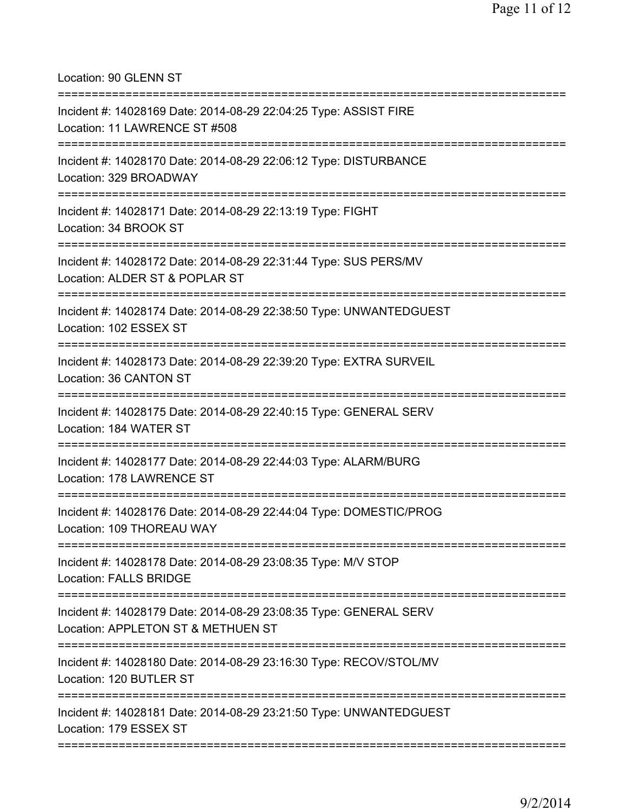Location: 90 GLENN ST

| Incident #: 14028169 Date: 2014-08-29 22:04:25 Type: ASSIST FIRE<br>Location: 11 LAWRENCE ST #508                      |
|------------------------------------------------------------------------------------------------------------------------|
| Incident #: 14028170 Date: 2014-08-29 22:06:12 Type: DISTURBANCE<br>Location: 329 BROADWAY<br>======================== |
| Incident #: 14028171 Date: 2014-08-29 22:13:19 Type: FIGHT<br>Location: 34 BROOK ST                                    |
| Incident #: 14028172 Date: 2014-08-29 22:31:44 Type: SUS PERS/MV<br>Location: ALDER ST & POPLAR ST                     |
| Incident #: 14028174 Date: 2014-08-29 22:38:50 Type: UNWANTEDGUEST<br>Location: 102 ESSEX ST                           |
| Incident #: 14028173 Date: 2014-08-29 22:39:20 Type: EXTRA SURVEIL<br>Location: 36 CANTON ST                           |
| Incident #: 14028175 Date: 2014-08-29 22:40:15 Type: GENERAL SERV<br>Location: 184 WATER ST                            |
| Incident #: 14028177 Date: 2014-08-29 22:44:03 Type: ALARM/BURG<br>Location: 178 LAWRENCE ST                           |
| Incident #: 14028176 Date: 2014-08-29 22:44:04 Type: DOMESTIC/PROG<br>Location: 109 THOREAU WAY                        |
| Incident #: 14028178 Date: 2014-08-29 23:08:35 Type: M/V STOP<br><b>Location: FALLS BRIDGE</b>                         |
| Incident #: 14028179 Date: 2014-08-29 23:08:35 Type: GENERAL SERV<br>Location: APPLETON ST & METHUEN ST                |
| Incident #: 14028180 Date: 2014-08-29 23:16:30 Type: RECOV/STOL/MV<br>Location: 120 BUTLER ST                          |
| Incident #: 14028181 Date: 2014-08-29 23:21:50 Type: UNWANTEDGUEST<br>Location: 179 ESSEX ST                           |
|                                                                                                                        |